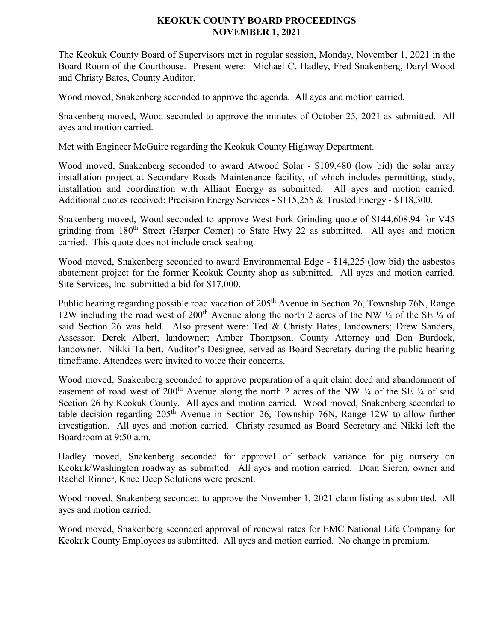## **KEOKUK COUNTY BOARD PROCEEDINGS NOVEMBER 1, 2021**

The Keokuk County Board of Supervisors met in regular session, Monday, November 1, 2021 in the Board Room of the Courthouse. Present were: Michael C. Hadley, Fred Snakenberg, Daryl Wood and Christy Bates, County Auditor.

Wood moved, Snakenberg seconded to approve the agenda. All ayes and motion carried.

Snakenberg moved, Wood seconded to approve the minutes of October 25, 2021 as submitted. All ayes and motion carried.

Met with Engineer McGuire regarding the Keokuk County Highway Department.

Wood moved, Snakenberg seconded to award Atwood Solar - \$109,480 (low bid) the solar array installation project at Secondary Roads Maintenance facility, of which includes permitting, study, installation and coordination with Alliant Energy as submitted. All ayes and motion carried. Additional quotes received: Precision Energy Services - \$115,255 & Trusted Energy - \$118,300.

Snakenberg moved, Wood seconded to approve West Fork Grinding quote of \$144,608.94 for V45 grinding from 180<sup>th</sup> Street (Harper Corner) to State Hwy 22 as submitted. All ayes and motion carried. This quote does not include crack sealing.

Wood moved, Snakenberg seconded to award Environmental Edge - \$14,225 (low bid) the asbestos abatement project for the former Keokuk County shop as submitted. All ayes and motion carried. Site Services, Inc. submitted a bid for \$17,000.

Public hearing regarding possible road vacation of 205<sup>th</sup> Avenue in Section 26, Township 76N, Range 12W including the road west of 200<sup>th</sup> Avenue along the north 2 acres of the NW  $\frac{1}{4}$  of the SE  $\frac{1}{4}$  of said Section 26 was held. Also present were: Ted & Christy Bates, landowners; Drew Sanders, Assessor; Derek Albert, landowner; Amber Thompson, County Attorney and Don Burdock, landowner. Nikki Talbert, Auditor's Designee, served as Board Secretary during the public hearing timeframe. Attendees were invited to voice their concerns.

Wood moved, Snakenberg seconded to approve preparation of a quit claim deed and abandonment of easement of road west of 200<sup>th</sup> Avenue along the north 2 acres of the NW  $\frac{1}{4}$  of the SE  $\frac{1}{4}$  of said Section 26 by Keokuk County. All ayes and motion carried. Wood moved, Snakenberg seconded to table decision regarding 205<sup>th</sup> Avenue in Section 26, Township 76N, Range 12W to allow further investigation. All ayes and motion carried. Christy resumed as Board Secretary and Nikki left the Boardroom at 9:50 a.m.

Hadley moved, Snakenberg seconded for approval of setback variance for pig nursery on Keokuk/Washington roadway as submitted. All ayes and motion carried. Dean Sieren, owner and Rachel Rinner, Knee Deep Solutions were present.

Wood moved, Snakenberg seconded to approve the November 1, 2021 claim listing as submitted. All ayes and motion carried.

Wood moved, Snakenberg seconded approval of renewal rates for EMC National Life Company for Keokuk County Employees as submitted. All ayes and motion carried. No change in premium.